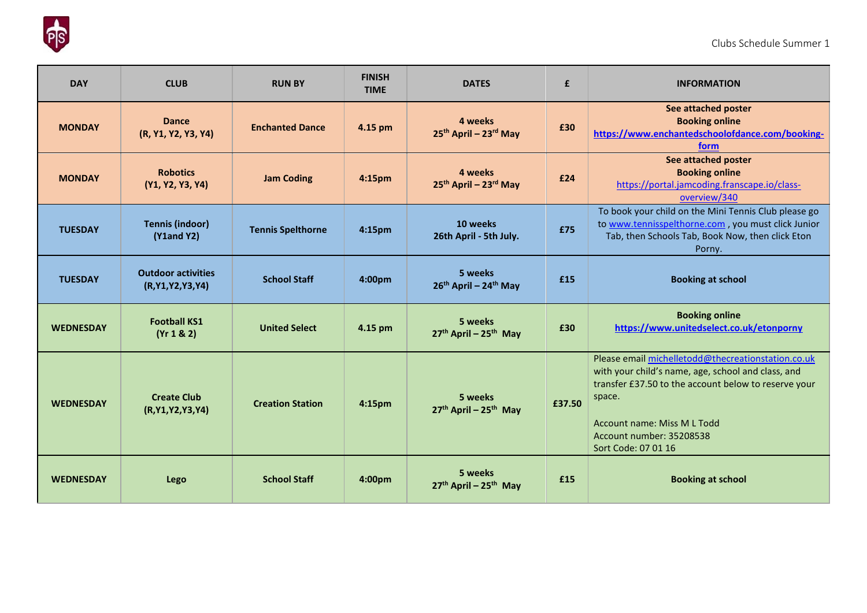

| <b>DAY</b>       | <b>CLUB</b>                                      | <b>RUN BY</b>            | <b>FINISH</b><br><b>TIME</b> | <b>DATES</b>                                             | £      | <b>INFORMATION</b>                                                                                                                                                                                                                                           |
|------------------|--------------------------------------------------|--------------------------|------------------------------|----------------------------------------------------------|--------|--------------------------------------------------------------------------------------------------------------------------------------------------------------------------------------------------------------------------------------------------------------|
| <b>MONDAY</b>    | <b>Dance</b><br>(R, Y1, Y2, Y3, Y4)              | <b>Enchanted Dance</b>   | 4.15 pm                      | 4 weeks<br>25 <sup>th</sup> April - 23 <sup>rd</sup> May | £30    | See attached poster<br><b>Booking online</b><br>https://www.enchantedschoolofdance.com/booking-<br>form                                                                                                                                                      |
| <b>MONDAY</b>    | <b>Robotics</b><br>(Y1, Y2, Y3, Y4)              | <b>Jam Coding</b>        | 4:15pm                       | 4 weeks<br>25th April - 23rd May                         | £24    | See attached poster<br><b>Booking online</b><br>https://portal.jamcoding.franscape.io/class-<br>overview/340                                                                                                                                                 |
| <b>TUESDAY</b>   | <b>Tennis (indoor)</b><br>$(Y1$ and $Y2)$        | <b>Tennis Spelthorne</b> | 4:15pm                       | 10 weeks<br>26th April - 5th July.                       | £75    | To book your child on the Mini Tennis Club please go<br>to www.tennisspelthorne.com, you must click Junior<br>Tab, then Schools Tab, Book Now, then click Eton<br>Porny.                                                                                     |
| <b>TUESDAY</b>   | <b>Outdoor activities</b><br>(R, Y1, Y2, Y3, Y4) | <b>School Staff</b>      | 4:00pm                       | 5 weeks<br>26th April - 24th May                         | £15    | <b>Booking at school</b>                                                                                                                                                                                                                                     |
| <b>WEDNESDAY</b> | <b>Football KS1</b><br>(Yr 1 & 2)                | <b>United Select</b>     | 4.15 pm                      | 5 weeks<br>27th April - 25th May                         | £30    | <b>Booking online</b><br>https://www.unitedselect.co.uk/etonporny                                                                                                                                                                                            |
| <b>WEDNESDAY</b> | <b>Create Club</b><br>(R, Y1, Y2, Y3, Y4)        | <b>Creation Station</b>  | 4:15pm                       | 5 weeks<br>$27th$ April – $25th$ May                     | £37.50 | Please email michelletodd@thecreationstation.co.uk<br>with your child's name, age, school and class, and<br>transfer £37.50 to the account below to reserve your<br>space.<br>Account name: Miss M L Todd<br>Account number: 35208538<br>Sort Code: 07 01 16 |
| <b>WEDNESDAY</b> | <b>Lego</b>                                      | <b>School Staff</b>      | 4:00pm                       | 5 weeks<br>27th April - 25th May                         | £15    | <b>Booking at school</b>                                                                                                                                                                                                                                     |